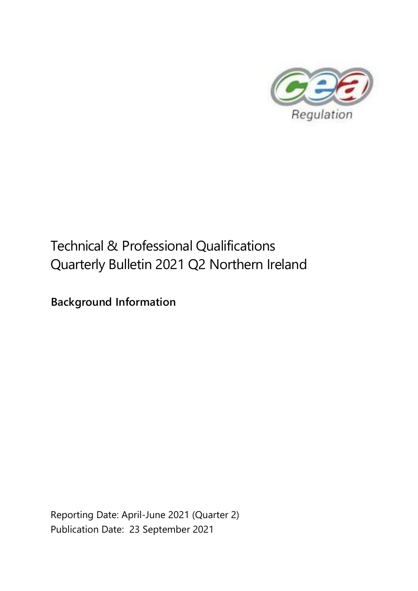

# Technical & Professional Qualifications Quarterly Bulletin 2021 Q2 Northern Ireland

**Background Information**

Reporting Date: April-June 2021 (Quarter 2) Publication Date: 23 September 2021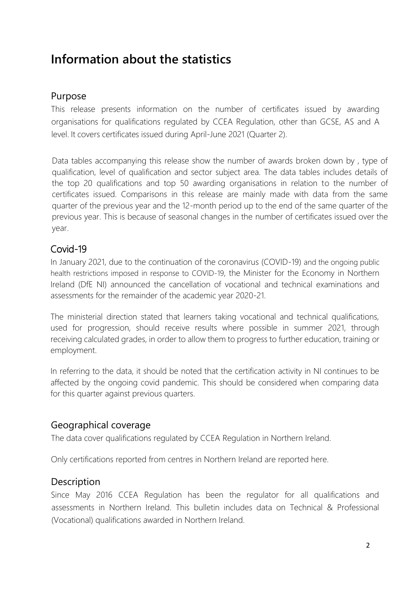# **Information about the statistics**

### Purpose

This release presents information on the number of certificates issued by awarding organisations for qualifications regulated by CCEA Regulation, other than GCSE, AS and A level. It covers certificates issued during April-June 2021 (Quarter 2).

Data tables accompanying this release show the number of awards broken down by , type of qualification, level of qualification and sector subject area. The data tables includes details of the top 20 qualifications and top 50 awarding organisations in relation to the number of certificates issued. Comparisons in this release are mainly made with data from the same quarter of the previous year and the 12-month period up to the end of the same quarter of the previous year. This is because of seasonal changes in the number of certificates issued over the year.

# Covid-19

In January 2021, due to the continuation of the coronavirus (COVID-19) and the ongoing public health restrictions imposed in response to COVID-19, the Minister for the Economy in Northern Ireland (DfE NI) announced the cancellation of vocational and technical examinations and assessments for the remainder of the academic year 2020-21.

The ministerial direction stated that learners taking vocational and technical qualifications, used for progression, should receive results where possible in summer 2021, through receiving calculated grades, in order to allow them to progress to further education, training or employment.

In referring to the data, it should be noted that the certification activity in NI continues to be affected by the ongoing covid pandemic. This should be considered when comparing data for this quarter against previous quarters.

# Geographical coverage

The data cover qualifications regulated by CCEA Regulation in Northern Ireland.

Only certifications reported from centres in Northern Ireland are reported here.

# **Description**

Since May 2016 CCEA Regulation has been the regulator for all qualifications and assessments in Northern Ireland. This bulletin includes data on Technical & Professional (Vocational) qualifications awarded in Northern Ireland.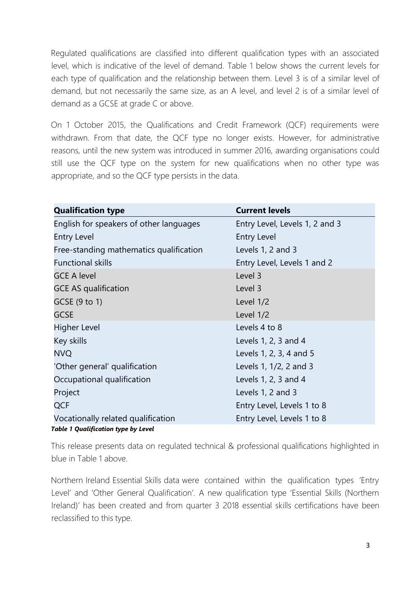Regulated qualifications are classified into different qualification types with an associated level, which is indicative of the level of demand. Table 1 below shows the current levels for each type of qualification and the relationship between them. Level 3 is of a similar level of demand, but not necessarily the same size, as an A level, and level 2 is of a similar level of demand as a GCSE at grade C or above.

On 1 October 2015, the Qualifications and Credit Framework (QCF) requirements were withdrawn. From that date, the QCF type no longer exists. However, for administrative reasons, until the new system was introduced in summer 2016, awarding organisations could still use the QCF type on the system for new qualifications when no other type was appropriate, and so the QCF type persists in the data.

| <b>Qualification type</b>                  | <b>Current levels</b>          |
|--------------------------------------------|--------------------------------|
| English for speakers of other languages    | Entry Level, Levels 1, 2 and 3 |
| <b>Entry Level</b>                         | <b>Entry Level</b>             |
| Free-standing mathematics qualification    | Levels 1, 2 and 3              |
| <b>Functional skills</b>                   | Entry Level, Levels 1 and 2    |
| <b>GCE A level</b>                         | Level 3                        |
| <b>GCE AS qualification</b>                | Level 3                        |
| GCSE (9 to 1)                              | Level 1/2                      |
| <b>GCSE</b>                                | Level 1/2                      |
| <b>Higher Level</b>                        | Levels 4 to 8                  |
| Key skills                                 | Levels 1, 2, 3 and 4           |
| <b>NVQ</b>                                 | Levels 1, 2, 3, 4 and 5        |
| 'Other general' qualification              | Levels 1, 1/2, 2 and 3         |
| Occupational qualification                 | Levels 1, 2, 3 and 4           |
| Project                                    | Levels 1, 2 and 3              |
| <b>QCF</b>                                 | Entry Level, Levels 1 to 8     |
| Vocationally related qualification         | Entry Level, Levels 1 to 8     |
| <b>Table 1 Qualification type by Level</b> |                                |

This release presents data on regulated technical & professional qualifications highlighted in blue in Table 1 above.

Northern Ireland Essential Skills data were contained within the qualification types 'Entry Level' and 'Other General Qualification'. A new qualification type 'Essential Skills (Northern Ireland)' has been created and from quarter 3 2018 essential skills certifications have been reclassified to this type.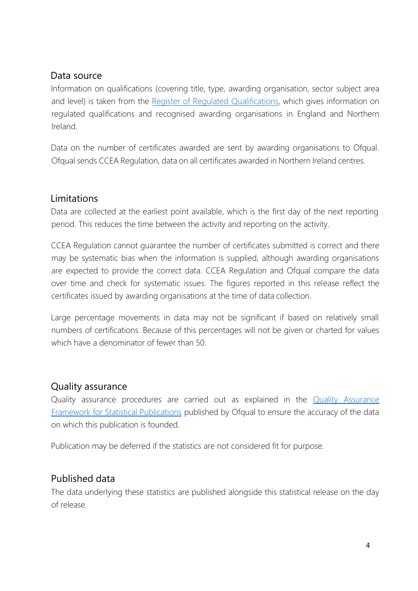#### Data source

Information on qualifications (covering title, type, awarding organisation, sector subject area and level) is taken from the Register of Regulated [Qualifications,](http://register.ofqual.gov.uk/) which gives information on regulated qualifications and recognised awarding organisations in England and Northern Irelan[d.](https://www.qiw.wales/)

Data on the number of certificates awarded are sent by awarding organisations to Ofqual. Ofqual sends CCEA Regulation, data on all certificates awarded in Northern Ireland centres.

#### Limitations

Data are collected at the earliest point available, which is the first day of the next reporting period. This reduces the time between the activity and reporting on the activity.

CCEA Regulation cannot guarantee the number of certificates submitted is correct and there may be systematic bias when the information is supplied, although awarding organisations are expected to provide the correct data. CCEA Regulation and Ofqual compare the data over time and check for systematic issues. The figures reported in this release reflect the certificates issued by awarding organisations at the time of data collection.

Large percentage movements in data may not be significant if based on relatively small numbers of certifications. Because of this percentages will not be given or charted for values which have a denominator of fewer than 50.

#### Quality assurance

Quality assurance procedures are carried out as explained in the [Quality Assurance](https://www.gov.uk/government/publications/ofquals-statistics-policies-and-procedures) [Framework for Statistical Publications](https://www.gov.uk/government/publications/ofquals-statistics-policies-and-procedures) published by Ofqual to ensure the accuracy of the data on which this publication is founded.

Publication may be deferred if the statistics are not considered fit for purpose.

# Published data

The data underlying these statistics are published alongside this statistical release on the day of release.